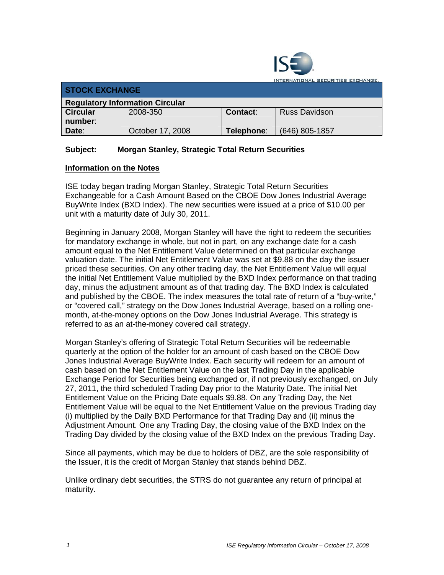

INTERNATIONAL SECURITIES EXCHANGE.

| <b>STOCK EXCHANGE</b>                  |                  |            |                      |  |  |
|----------------------------------------|------------------|------------|----------------------|--|--|
| <b>Regulatory Information Circular</b> |                  |            |                      |  |  |
| <b>Circular</b>                        | 2008-350         | Contact:   | <b>Russ Davidson</b> |  |  |
| number:                                |                  |            |                      |  |  |
| Date:                                  | October 17, 2008 | Telephone: | (646) 805-1857       |  |  |

## **Subject: Morgan Stanley, Strategic Total Return Securities**

## **Information on the Notes**

ISE today began trading Morgan Stanley, Strategic Total Return Securities Exchangeable for a Cash Amount Based on the CBOE Dow Jones Industrial Average BuyWrite Index (BXD Index). The new securities were issued at a price of \$10.00 per unit with a maturity date of July 30, 2011.

Beginning in January 2008, Morgan Stanley will have the right to redeem the securities for mandatory exchange in whole, but not in part, on any exchange date for a cash amount equal to the Net Entitlement Value determined on that particular exchange valuation date. The initial Net Entitlement Value was set at \$9.88 on the day the issuer priced these securities. On any other trading day, the Net Entitlement Value will equal the initial Net Entitlement Value multiplied by the BXD Index performance on that trading day, minus the adjustment amount as of that trading day. The BXD Index is calculated and published by the CBOE. The index measures the total rate of return of a "buy-write," or "covered call," strategy on the Dow Jones Industrial Average, based on a rolling onemonth, at-the-money options on the Dow Jones Industrial Average. This strategy is referred to as an at-the-money covered call strategy.

Morgan Stanley's offering of Strategic Total Return Securities will be redeemable quarterly at the option of the holder for an amount of cash based on the CBOE Dow Jones Industrial Average BuyWrite Index. Each security will redeem for an amount of cash based on the Net Entitlement Value on the last Trading Day in the applicable Exchange Period for Securities being exchanged or, if not previously exchanged, on July 27, 2011, the third scheduled Trading Day prior to the Maturity Date. The initial Net Entitlement Value on the Pricing Date equals \$9.88. On any Trading Day, the Net Entitlement Value will be equal to the Net Entitlement Value on the previous Trading day (i) multiplied by the Daily BXD Performance for that Trading Day and (ii) minus the Adjustment Amount. One any Trading Day, the closing value of the BXD Index on the Trading Day divided by the closing value of the BXD Index on the previous Trading Day.

Since all payments, which may be due to holders of DBZ, are the sole responsibility of the Issuer, it is the credit of Morgan Stanley that stands behind DBZ.

Unlike ordinary debt securities, the STRS do not guarantee any return of principal at maturity.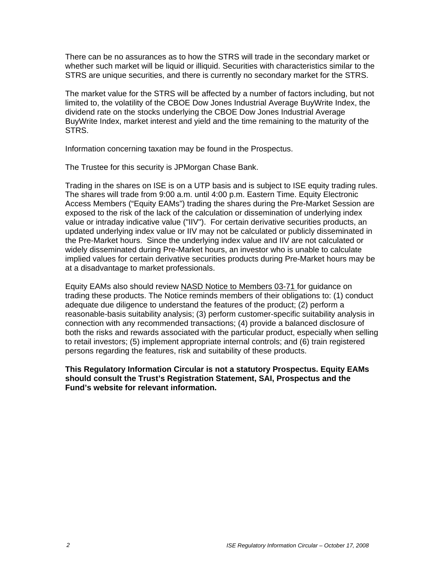There can be no assurances as to how the STRS will trade in the secondary market or whether such market will be liquid or illiquid. Securities with characteristics similar to the STRS are unique securities, and there is currently no secondary market for the STRS.

The market value for the STRS will be affected by a number of factors including, but not limited to, the volatility of the CBOE Dow Jones Industrial Average BuyWrite Index, the dividend rate on the stocks underlying the CBOE Dow Jones Industrial Average BuyWrite Index, market interest and yield and the time remaining to the maturity of the STRS.

Information concerning taxation may be found in the Prospectus.

The Trustee for this security is JPMorgan Chase Bank.

Trading in the shares on ISE is on a UTP basis and is subject to ISE equity trading rules. The shares will trade from 9:00 a.m. until 4:00 p.m. Eastern Time. Equity Electronic Access Members ("Equity EAMs") trading the shares during the Pre-Market Session are exposed to the risk of the lack of the calculation or dissemination of underlying index value or intraday indicative value ("IIV"). For certain derivative securities products, an updated underlying index value or IIV may not be calculated or publicly disseminated in the Pre-Market hours. Since the underlying index value and IIV are not calculated or widely disseminated during Pre-Market hours, an investor who is unable to calculate implied values for certain derivative securities products during Pre-Market hours may be at a disadvantage to market professionals.

Equity EAMs also should review NASD Notice to Members 03-71 for guidance on trading these products. The Notice reminds members of their obligations to: (1) conduct adequate due diligence to understand the features of the product; (2) perform a reasonable-basis suitability analysis; (3) perform customer-specific suitability analysis in connection with any recommended transactions; (4) provide a balanced disclosure of both the risks and rewards associated with the particular product, especially when selling to retail investors; (5) implement appropriate internal controls; and (6) train registered persons regarding the features, risk and suitability of these products.

**This Regulatory Information Circular is not a statutory Prospectus. Equity EAMs should consult the Trust's Registration Statement, SAI, Prospectus and the Fund's website for relevant information.**